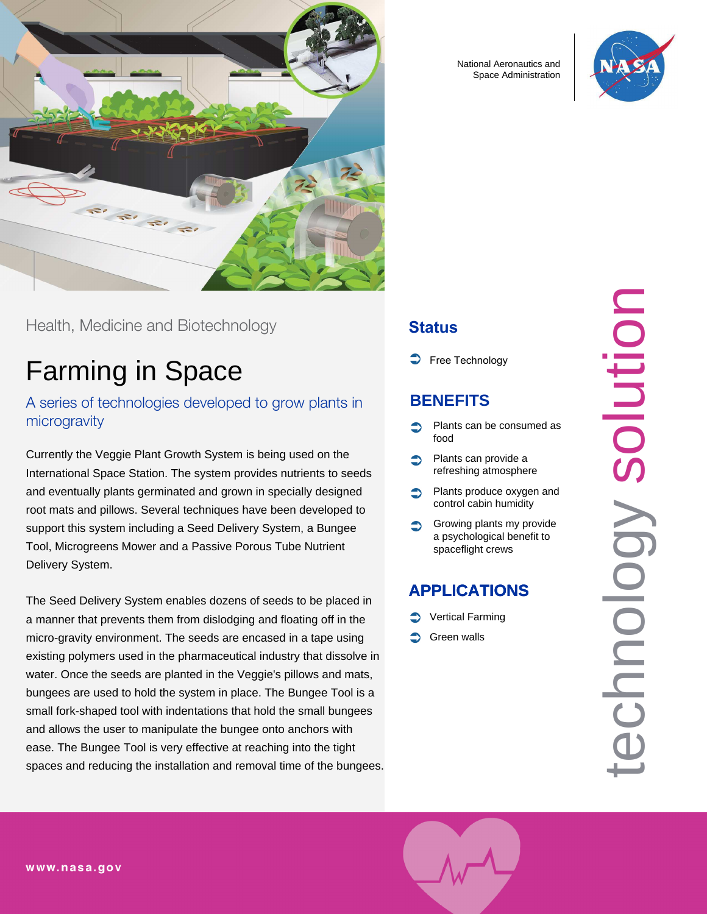

Health, Medicine and Biotechnology

# Farming in Space

A series of technologies developed to grow plants in microgravity

Currently the Veggie Plant Growth System is being used on the International Space Station. The system provides nutrients to seeds and eventually plants germinated and grown in specially designed root mats and pillows. Several techniques have been developed to support this system including a Seed Delivery System, a Bungee Tool, Microgreens Mower and a Passive Porous Tube Nutrient Delivery System.

The Seed Delivery System enables dozens of seeds to be placed in a manner that prevents them from dislodging and floating off in the micro-gravity environment. The seeds are encased in a tape using existing polymers used in the pharmaceutical industry that dissolve in water. Once the seeds are planted in the Veggie's pillows and mats, bungees are used to hold the system in place. The Bungee Tool is a small fork-shaped tool with indentations that hold the small bungees and allows the user to manipulate the bungee onto anchors with ease. The Bungee Tool is very effective at reaching into the tight spaces and reducing the installation and removal time of the bungees. National Aeronautics and Space Administration



### **Status**

Free Technology

## **BENEFITS**

- Plants can be consumed as food
- Plants can provide a refreshing atmosphere
- Plants produce oxygen and control cabin humidity
- Growing plants my provide a psychological benefit to spaceflight crews

# **APPLICATIONS**

- Vertical Farming
- Green walls